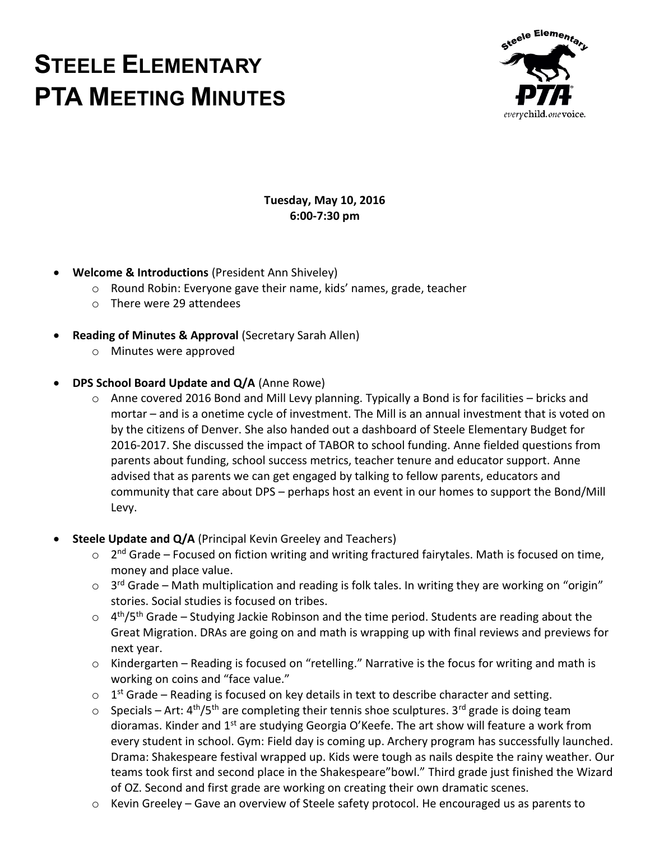# **STEELE ELEMENTARY PTA MEETING MINUTES**



#### **Tuesday, May 10, 2016 6:00-7:30 pm**

- **Welcome & Introductions** (President Ann Shiveley)
	- o Round Robin: Everyone gave their name, kids' names, grade, teacher
	- o There were 29 attendees
- **Reading of Minutes & Approval** (Secretary Sarah Allen)
	- o Minutes were approved

#### **DPS School Board Update and Q/A** (Anne Rowe)

- o Anne covered 2016 Bond and Mill Levy planning. Typically a Bond is for facilities bricks and mortar – and is a onetime cycle of investment. The Mill is an annual investment that is voted on by the citizens of Denver. She also handed out a dashboard of Steele Elementary Budget for 2016-2017. She discussed the impact of TABOR to school funding. Anne fielded questions from parents about funding, school success metrics, teacher tenure and educator support. Anne advised that as parents we can get engaged by talking to fellow parents, educators and community that care about DPS – perhaps host an event in our homes to support the Bond/Mill Levy.
- **Steele Update and Q/A** (Principal Kevin Greeley and Teachers)
	- o 2<sup>nd</sup> Grade Focused on fiction writing and writing fractured fairytales. Math is focused on time, money and place value.
	- $\circ$  3<sup>rd</sup> Grade Math multiplication and reading is folk tales. In writing they are working on "origin" stories. Social studies is focused on tribes.
	- $\circ$  4<sup>th</sup>/5<sup>th</sup> Grade Studying Jackie Robinson and the time period. Students are reading about the Great Migration. DRAs are going on and math is wrapping up with final reviews and previews for next year.
	- o Kindergarten Reading is focused on "retelling." Narrative is the focus for writing and math is working on coins and "face value."
	- $\circ$  1<sup>st</sup> Grade Reading is focused on key details in text to describe character and setting.
	- $\circ$  Specials Art: 4<sup>th</sup>/5<sup>th</sup> are completing their tennis shoe sculptures. 3<sup>rd</sup> grade is doing team dioramas. Kinder and 1<sup>st</sup> are studying Georgia O'Keefe. The art show will feature a work from every student in school. Gym: Field day is coming up. Archery program has successfully launched. Drama: Shakespeare festival wrapped up. Kids were tough as nails despite the rainy weather. Our teams took first and second place in the Shakespeare"bowl." Third grade just finished the Wizard of OZ. Second and first grade are working on creating their own dramatic scenes.
	- o Kevin Greeley Gave an overview of Steele safety protocol. He encouraged us as parents to